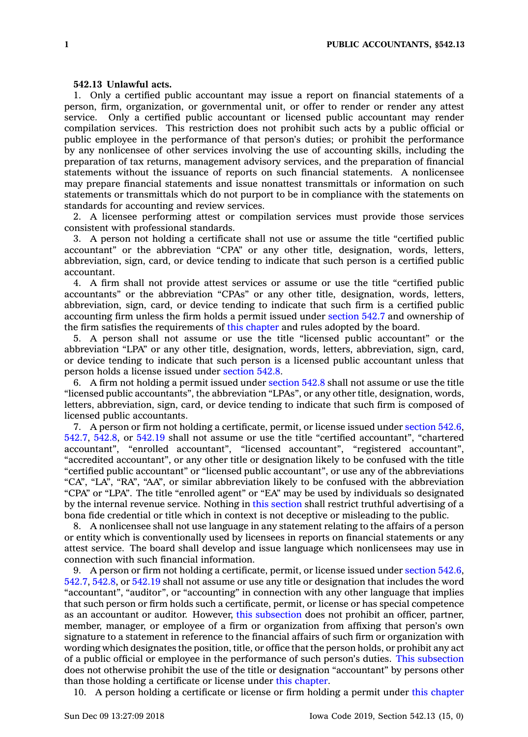## **542.13 Unlawful acts.**

1. Only <sup>a</sup> certified public accountant may issue <sup>a</sup> report on financial statements of <sup>a</sup> person, firm, organization, or governmental unit, or offer to render or render any attest service. Only <sup>a</sup> certified public accountant or licensed public accountant may render compilation services. This restriction does not prohibit such acts by <sup>a</sup> public official or public employee in the performance of that person's duties; or prohibit the performance by any nonlicensee of other services involving the use of accounting skills, including the preparation of tax returns, management advisory services, and the preparation of financial statements without the issuance of reports on such financial statements. A nonlicensee may prepare financial statements and issue nonattest transmittals or information on such statements or transmittals which do not purport to be in compliance with the statements on standards for accounting and review services.

2. A licensee performing attest or compilation services must provide those services consistent with professional standards.

3. A person not holding <sup>a</sup> certificate shall not use or assume the title "certified public accountant" or the abbreviation "CPA" or any other title, designation, words, letters, abbreviation, sign, card, or device tending to indicate that such person is <sup>a</sup> certified public accountant.

4. A firm shall not provide attest services or assume or use the title "certified public accountants" or the abbreviation "CPAs" or any other title, designation, words, letters, abbreviation, sign, card, or device tending to indicate that such firm is <sup>a</sup> certified public accounting firm unless the firm holds <sup>a</sup> permit issued under [section](https://www.legis.iowa.gov/docs/code/542.7.pdf) 542.7 and ownership of the firm satisfies the requirements of this [chapter](https://www.legis.iowa.gov/docs/code//542.pdf) and rules adopted by the board.

5. A person shall not assume or use the title "licensed public accountant" or the abbreviation "LPA" or any other title, designation, words, letters, abbreviation, sign, card, or device tending to indicate that such person is <sup>a</sup> licensed public accountant unless that person holds <sup>a</sup> license issued under [section](https://www.legis.iowa.gov/docs/code/542.8.pdf) 542.8.

6. A firm not holding <sup>a</sup> permit issued under [section](https://www.legis.iowa.gov/docs/code/542.8.pdf) 542.8 shall not assume or use the title "licensed public accountants", the abbreviation "LPAs", or any other title, designation, words, letters, abbreviation, sign, card, or device tending to indicate that such firm is composed of licensed public accountants.

7. A person or firm not holding <sup>a</sup> certificate, permit, or license issued under [section](https://www.legis.iowa.gov/docs/code/542.6.pdf) 542.6, [542.7](https://www.legis.iowa.gov/docs/code/542.7.pdf), [542.8](https://www.legis.iowa.gov/docs/code/542.8.pdf), or [542.19](https://www.legis.iowa.gov/docs/code/542.19.pdf) shall not assume or use the title "certified accountant", "chartered accountant", "enrolled accountant", "licensed accountant", "registered accountant", "accredited accountant", or any other title or designation likely to be confused with the title "certified public accountant" or "licensed public accountant", or use any of the abbreviations "CA", "LA", "RA", "AA", or similar abbreviation likely to be confused with the abbreviation "CPA" or "LPA". The title "enrolled agent" or "EA" may be used by individuals so designated by the internal revenue service. Nothing in this [section](https://www.legis.iowa.gov/docs/code/542.13.pdf) shall restrict truthful advertising of <sup>a</sup> bona fide credential or title which in context is not deceptive or misleading to the public.

8. A nonlicensee shall not use language in any statement relating to the affairs of <sup>a</sup> person or entity which is conventionally used by licensees in reports on financial statements or any attest service. The board shall develop and issue language which nonlicensees may use in connection with such financial information.

9. A person or firm not holding <sup>a</sup> certificate, permit, or license issued under [section](https://www.legis.iowa.gov/docs/code/542.6.pdf) 542.6, [542.7](https://www.legis.iowa.gov/docs/code/542.7.pdf), [542.8](https://www.legis.iowa.gov/docs/code/542.8.pdf), or [542.19](https://www.legis.iowa.gov/docs/code/542.19.pdf) shall not assume or use any title or designation that includes the word "accountant", "auditor", or "accounting" in connection with any other language that implies that such person or firm holds such <sup>a</sup> certificate, permit, or license or has special competence as an accountant or auditor. However, this [subsection](https://www.legis.iowa.gov/docs/code/542.13.pdf) does not prohibit an officer, partner, member, manager, or employee of <sup>a</sup> firm or organization from affixing that person's own signature to <sup>a</sup> statement in reference to the financial affairs of such firm or organization with wording which designates the position, title, or office that the person holds, or prohibit any act of <sup>a</sup> public official or employee in the performance of such person's duties. This [subsection](https://www.legis.iowa.gov/docs/code/542.13.pdf) does not otherwise prohibit the use of the title or designation "accountant" by persons other than those holding <sup>a</sup> certificate or license under this [chapter](https://www.legis.iowa.gov/docs/code//542.pdf).

10. A person holding <sup>a</sup> certificate or license or firm holding <sup>a</sup> permit under this [chapter](https://www.legis.iowa.gov/docs/code//542.pdf)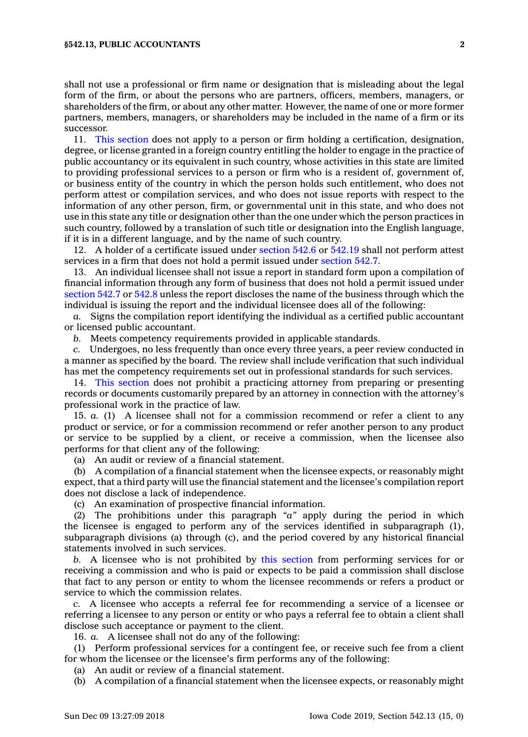shall not use <sup>a</sup> professional or firm name or designation that is misleading about the legal form of the firm, or about the persons who are partners, officers, members, managers, or shareholders of the firm, or about any other matter. However, the name of one or more former partners, members, managers, or shareholders may be included in the name of <sup>a</sup> firm or its successor.

11. This [section](https://www.legis.iowa.gov/docs/code/542.13.pdf) does not apply to <sup>a</sup> person or firm holding <sup>a</sup> certification, designation, degree, or license granted in <sup>a</sup> foreign country entitling the holder to engage in the practice of public accountancy or its equivalent in such country, whose activities in this state are limited to providing professional services to <sup>a</sup> person or firm who is <sup>a</sup> resident of, government of, or business entity of the country in which the person holds such entitlement, who does not perform attest or compilation services, and who does not issue reports with respect to the information of any other person, firm, or governmental unit in this state, and who does not use in this state any title or designation other than the one under which the person practices in such country, followed by <sup>a</sup> translation of such title or designation into the English language, if it is in <sup>a</sup> different language, and by the name of such country.

12. A holder of <sup>a</sup> certificate issued under [section](https://www.legis.iowa.gov/docs/code/542.6.pdf) 542.6 or [542.19](https://www.legis.iowa.gov/docs/code/542.19.pdf) shall not perform attest services in <sup>a</sup> firm that does not hold <sup>a</sup> permit issued under [section](https://www.legis.iowa.gov/docs/code/542.7.pdf) 542.7.

13. An individual licensee shall not issue <sup>a</sup> report in standard form upon <sup>a</sup> compilation of financial information through any form of business that does not hold <sup>a</sup> permit issued under [section](https://www.legis.iowa.gov/docs/code/542.7.pdf) 542.7 or [542.8](https://www.legis.iowa.gov/docs/code/542.8.pdf) unless the report discloses the name of the business through which the individual is issuing the report and the individual licensee does all of the following:

*a.* Signs the compilation report identifying the individual as <sup>a</sup> certified public accountant or licensed public accountant.

*b.* Meets competency requirements provided in applicable standards.

*c.* Undergoes, no less frequently than once every three years, <sup>a</sup> peer review conducted in <sup>a</sup> manner as specified by the board. The review shall include verification that such individual has met the competency requirements set out in professional standards for such services.

14. This [section](https://www.legis.iowa.gov/docs/code/542.13.pdf) does not prohibit <sup>a</sup> practicing attorney from preparing or presenting records or documents customarily prepared by an attorney in connection with the attorney's professional work in the practice of law.

15. *a.* (1) A licensee shall not for <sup>a</sup> commission recommend or refer <sup>a</sup> client to any product or service, or for <sup>a</sup> commission recommend or refer another person to any product or service to be supplied by <sup>a</sup> client, or receive <sup>a</sup> commission, when the licensee also performs for that client any of the following:

(a) An audit or review of <sup>a</sup> financial statement.

(b) A compilation of <sup>a</sup> financial statement when the licensee expects, or reasonably might expect, that <sup>a</sup> third party will use the financial statement and the licensee's compilation report does not disclose <sup>a</sup> lack of independence.

(c) An examination of prospective financial information.

(2) The prohibitions under this paragraph *"a"* apply during the period in which the licensee is engaged to perform any of the services identified in subparagraph (1), subparagraph divisions (a) through (c), and the period covered by any historical financial statements involved in such services.

*b.* A licensee who is not prohibited by this [section](https://www.legis.iowa.gov/docs/code/542.13.pdf) from performing services for or receiving <sup>a</sup> commission and who is paid or expects to be paid <sup>a</sup> commission shall disclose that fact to any person or entity to whom the licensee recommends or refers <sup>a</sup> product or service to which the commission relates.

*c.* A licensee who accepts <sup>a</sup> referral fee for recommending <sup>a</sup> service of <sup>a</sup> licensee or referring <sup>a</sup> licensee to any person or entity or who pays <sup>a</sup> referral fee to obtain <sup>a</sup> client shall disclose such acceptance or payment to the client.

16. *a.* A licensee shall not do any of the following:

(1) Perform professional services for <sup>a</sup> contingent fee, or receive such fee from <sup>a</sup> client for whom the licensee or the licensee's firm performs any of the following:

(a) An audit or review of <sup>a</sup> financial statement.

(b) A compilation of <sup>a</sup> financial statement when the licensee expects, or reasonably might